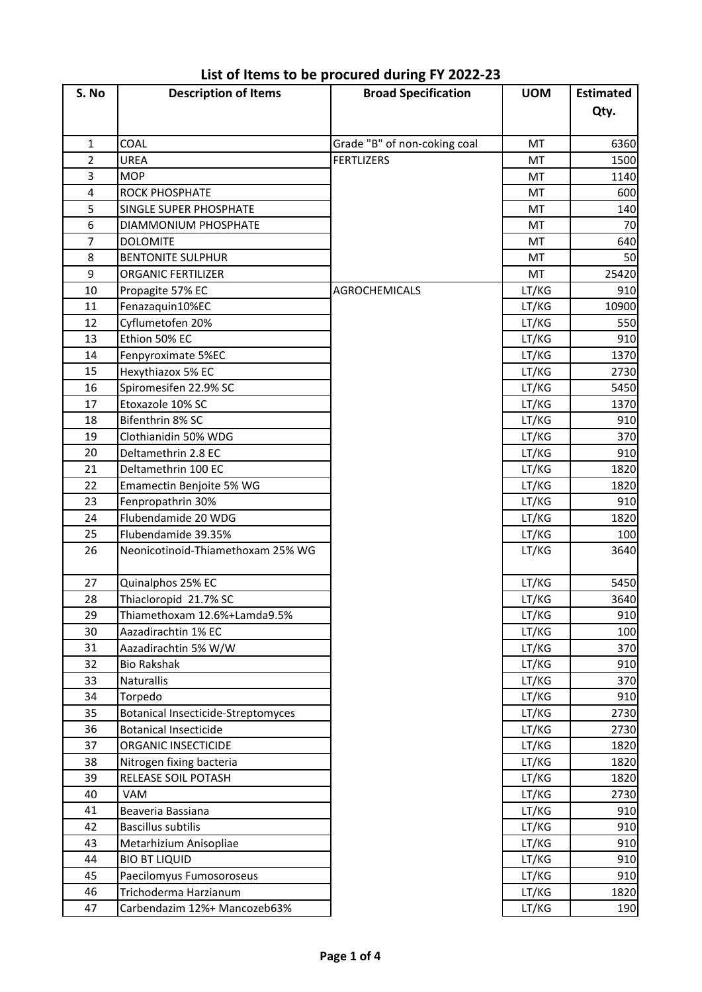| S. No          | <b>Description of Items</b>        | <b>Broad Specification</b>   | <b>UOM</b> | <b>Estimated</b> |
|----------------|------------------------------------|------------------------------|------------|------------------|
|                |                                    |                              |            | Qty.             |
| $\mathbf{1}$   | COAL                               | Grade "B" of non-coking coal | MT         | 6360             |
| $\overline{2}$ | UREA                               | <b>FERTLIZERS</b>            | MT         | 1500             |
| 3              | <b>MOP</b>                         |                              | MT         | 1140             |
| 4              | ROCK PHOSPHATE                     |                              | MT         | 600              |
| 5              | <b>SINGLE SUPER PHOSPHATE</b>      |                              | MT         | 140              |
| 6              | DIAMMONIUM PHOSPHATE               |                              | MT         | 70               |
| $\overline{7}$ | <b>DOLOMITE</b>                    |                              | MT         | 640              |
| 8              | <b>BENTONITE SULPHUR</b>           |                              | MT         | 50               |
| 9              | ORGANIC FERTILIZER                 |                              | MT         | 25420            |
| 10             | Propagite 57% EC                   | <b>AGROCHEMICALS</b>         | LT/KG      | 910              |
| 11             | Fenazaquin10%EC                    |                              | LT/KG      | 10900            |
| 12             | Cyflumetofen 20%                   |                              | LT/KG      | 550              |
| 13             | Ethion 50% EC                      |                              | LT/KG      | 910              |
| 14             | Fenpyroximate 5%EC                 |                              | LT/KG      | 1370             |
| 15             | Hexythiazox 5% EC                  |                              | LT/KG      | 2730             |
| 16             | Spiromesifen 22.9% SC              |                              | LT/KG      | 5450             |
| 17             | Etoxazole 10% SC                   |                              | LT/KG      | 1370             |
| 18             | Bifenthrin 8% SC                   |                              | LT/KG      | 910              |
| 19             | Clothianidin 50% WDG               |                              | LT/KG      | 370              |
| 20             | Deltamethrin 2.8 EC                |                              | LT/KG      | 910              |
| 21             | Deltamethrin 100 EC                |                              | LT/KG      | 1820             |
| 22             | Emamectin Benjoite 5% WG           |                              | LT/KG      | 1820             |
| 23             | Fenpropathrin 30%                  |                              | LT/KG      | 910              |
| 24             | Flubendamide 20 WDG                |                              | LT/KG      | 1820             |
| 25             | Flubendamide 39.35%                |                              | LT/KG      | 100              |
| 26             | Neonicotinoid-Thiamethoxam 25% WG  |                              | LT/KG      | 3640             |
| 27             | Quinalphos 25% EC                  |                              | LT/KG      | 5450             |
| 28             | Thiacloropid 21.7% SC              |                              | LT/KG      | 3640             |
| 29             | Thiamethoxam 12.6%+Lamda9.5%       |                              | LT/KG      | 910              |
| 30             | Aazadirachtin 1% EC                |                              | LT/KG      | 100              |
| 31             | Aazadirachtin 5% W/W               |                              | LT/KG      | 370              |
| 32             | <b>Bio Rakshak</b>                 |                              | LT/KG      | 910              |
| 33             | Naturallis                         |                              | LT/KG      | 370              |
| 34             | Torpedo                            |                              | LT/KG      | 910              |
| 35             | Botanical Insecticide-Streptomyces |                              | LT/KG      | 2730             |
| 36             | <b>Botanical Insecticide</b>       |                              | LT/KG      | 2730             |
| 37             | ORGANIC INSECTICIDE                |                              | LT/KG      | 1820             |
| 38             | Nitrogen fixing bacteria           |                              | LT/KG      | 1820             |
| 39             | RELEASE SOIL POTASH                |                              | LT/KG      | 1820             |
| 40             | VAM                                |                              | LT/KG      | 2730             |
| 41             | Beaveria Bassiana                  |                              | LT/KG      | 910              |
| 42             | <b>Bascillus subtilis</b>          |                              | LT/KG      | 910              |
| 43             | Metarhizium Anisopliae             |                              | LT/KG      | 910              |
| 44             | <b>BIO BT LIQUID</b>               |                              | LT/KG      | 910              |
| 45             | Paecilomyus Fumosoroseus           |                              | LT/KG      | 910              |
| 46             | Trichoderma Harzianum              |                              | LT/KG      | 1820             |
| 47             | Carbendazim 12%+ Mancozeb63%       |                              | LT/KG      | 190              |

**List of Items to be procured during FY 2022-23**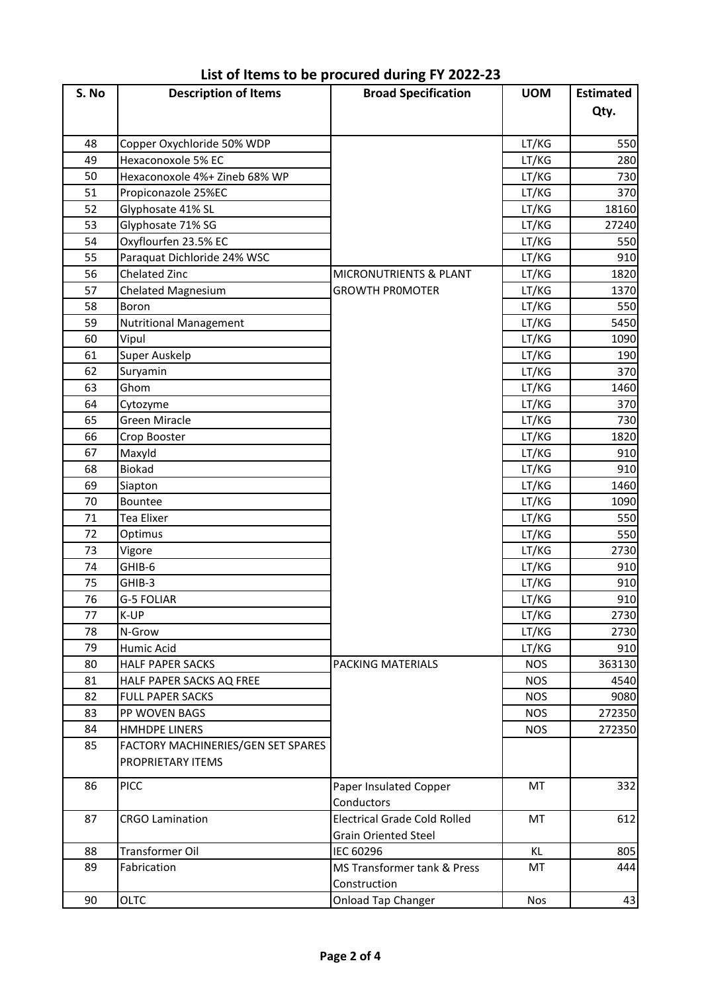| S. No    | <b>Description of Items</b>                      | <b>Broad Specification</b>          | <b>UOM</b> | <b>Estimated</b> |
|----------|--------------------------------------------------|-------------------------------------|------------|------------------|
|          |                                                  |                                     |            | Qty.             |
|          |                                                  |                                     |            |                  |
| 48<br>49 | Copper Oxychloride 50% WDP<br>Hexaconoxole 5% EC |                                     | LT/KG      | 550              |
| 50       | Hexaconoxole 4%+ Zineb 68% WP                    |                                     | LT/KG      | 280<br>730       |
| 51       |                                                  |                                     | LT/KG      |                  |
|          | Propiconazole 25%EC<br>Glyphosate 41% SL         |                                     | LT/KG      | 370              |
| 52       |                                                  |                                     | LT/KG      | 18160            |
| 53       | Glyphosate 71% SG                                |                                     | LT/KG      | 27240            |
| 54       | Oxyflourfen 23.5% EC                             |                                     | LT/KG      | 550              |
| 55       | Paraquat Dichloride 24% WSC                      |                                     | LT/KG      | 910              |
| 56       | Chelated Zinc                                    | MICRONUTRIENTS & PLANT              | LT/KG      | 1820             |
| 57       | <b>Chelated Magnesium</b>                        | <b>GROWTH PROMOTER</b>              | LT/KG      | 1370             |
| 58       | Boron                                            |                                     | LT/KG      | 550              |
| 59       | <b>Nutritional Management</b>                    |                                     | LT/KG      | 5450             |
| 60       | Vipul                                            |                                     | LT/KG      | 1090             |
| 61       | Super Auskelp                                    |                                     | LT/KG      | 190              |
| 62       | Suryamin                                         |                                     | LT/KG      | 370              |
| 63       | Ghom                                             |                                     | LT/KG      | 1460             |
| 64       | Cytozyme                                         |                                     | LT/KG      | 370              |
| 65       | <b>Green Miracle</b>                             |                                     | LT/KG      | 730              |
| 66       | Crop Booster                                     |                                     | LT/KG      | 1820             |
| 67       | Maxyld                                           |                                     | LT/KG      | 910              |
| 68       | Biokad                                           |                                     | LT/KG      | 910              |
| 69       | Siapton                                          |                                     | LT/KG      | 1460             |
| 70       | Bountee                                          |                                     | LT/KG      | 1090             |
| 71       | <b>Tea Elixer</b>                                |                                     | LT/KG      | 550              |
| 72       | Optimus                                          |                                     | LT/KG      | 550              |
| 73       | Vigore                                           |                                     | LT/KG      | 2730             |
| 74       | GHIB-6                                           |                                     | LT/KG      | 910              |
| 75       | GHIB-3                                           |                                     | LT/KG      | 910              |
| 76       | <b>G-5 FOLIAR</b>                                |                                     | LT/KG      | 910              |
| 77       | K-UP                                             |                                     | LT/KG      | 2730             |
| 78       | N-Grow                                           |                                     | LT/KG      | 2730             |
| 79       | Humic Acid                                       |                                     | LT/KG      | 910              |
| 80       | <b>HALF PAPER SACKS</b>                          | PACKING MATERIALS                   | <b>NOS</b> | 363130           |
| 81       | HALF PAPER SACKS AQ FREE                         |                                     | <b>NOS</b> | 4540             |
| 82       | <b>FULL PAPER SACKS</b>                          |                                     | <b>NOS</b> | 9080             |
| 83       | PP WOVEN BAGS                                    |                                     | <b>NOS</b> | 272350           |
| 84       | <b>HMHDPE LINERS</b>                             |                                     | <b>NOS</b> | 272350           |
| 85       | FACTORY MACHINERIES/GEN SET SPARES               |                                     |            |                  |
|          | PROPRIETARY ITEMS                                |                                     |            |                  |
| 86       | <b>PICC</b>                                      | Paper Insulated Copper              | MT         | 332              |
|          |                                                  | Conductors                          |            |                  |
| 87       | <b>CRGO Lamination</b>                           | <b>Electrical Grade Cold Rolled</b> | MT         | 612              |
|          |                                                  | <b>Grain Oriented Steel</b>         |            |                  |
| 88       | Transformer Oil                                  | IEC 60296                           | KL         | 805              |
| 89       | Fabrication                                      | MS Transformer tank & Press         | MT         | 444              |
|          |                                                  | Construction                        |            |                  |
| 90       | <b>OLTC</b>                                      | Onload Tap Changer                  | <b>Nos</b> | 43               |

**List of Items to be procured during FY 2022-23**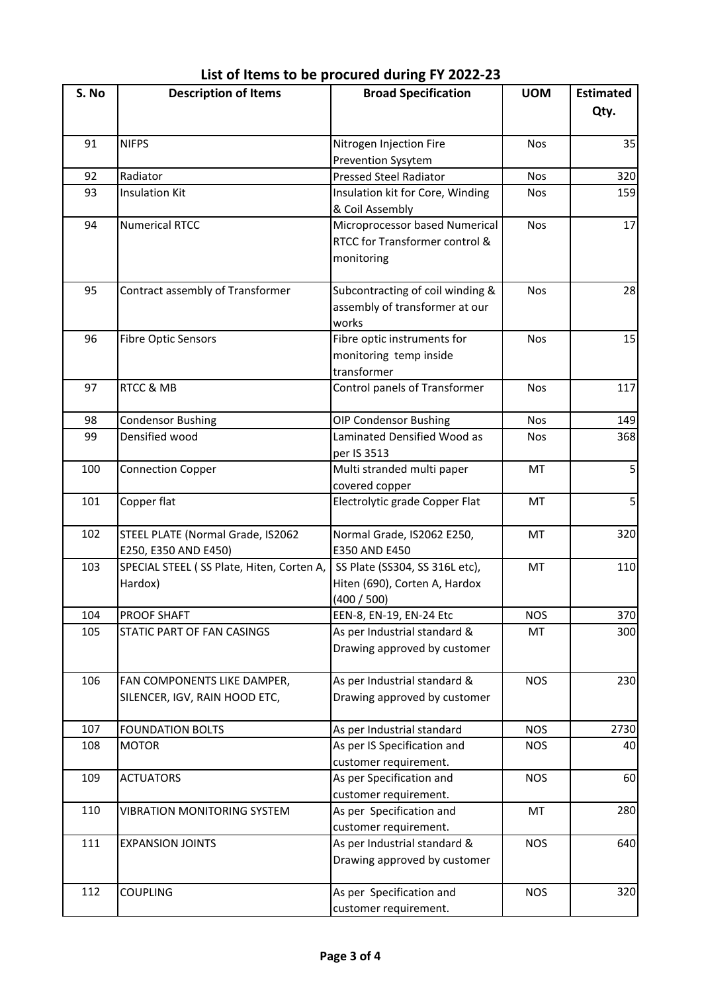| S. No | <b>Description of Items</b>               | <b>Broad Specification</b>       | <b>UOM</b> | <b>Estimated</b> |
|-------|-------------------------------------------|----------------------------------|------------|------------------|
|       |                                           |                                  |            | Qty.             |
| 91    | <b>NIFPS</b>                              | Nitrogen Injection Fire          | <b>Nos</b> | 35               |
|       |                                           | Prevention Sysytem               |            |                  |
| 92    | Radiator                                  | <b>Pressed Steel Radiator</b>    | <b>Nos</b> | 320              |
| 93    | <b>Insulation Kit</b>                     | Insulation kit for Core, Winding | <b>Nos</b> | 159              |
|       |                                           | & Coil Assembly                  |            |                  |
| 94    | <b>Numerical RTCC</b>                     | Microprocessor based Numerical   | <b>Nos</b> | 17               |
|       |                                           | RTCC for Transformer control &   |            |                  |
|       |                                           | monitoring                       |            |                  |
|       |                                           |                                  |            |                  |
| 95    | Contract assembly of Transformer          | Subcontracting of coil winding & | <b>Nos</b> | 28               |
|       |                                           | assembly of transformer at our   |            |                  |
|       |                                           | works                            |            |                  |
| 96    | <b>Fibre Optic Sensors</b>                | Fibre optic instruments for      | <b>Nos</b> | 15               |
|       |                                           | monitoring temp inside           |            |                  |
|       |                                           | transformer                      |            |                  |
| 97    | RTCC & MB                                 | Control panels of Transformer    | <b>Nos</b> | 117              |
|       |                                           |                                  |            |                  |
| 98    | <b>Condensor Bushing</b>                  | <b>OIP Condensor Bushing</b>     | <b>Nos</b> | 149              |
| 99    | Densified wood                            | Laminated Densified Wood as      | <b>Nos</b> | 368              |
|       |                                           | per IS 3513                      |            |                  |
| 100   | <b>Connection Copper</b>                  | Multi stranded multi paper       | MT         | 5                |
|       |                                           | covered copper                   |            |                  |
| 101   | Copper flat                               | Electrolytic grade Copper Flat   | MT         | 5                |
| 102   | STEEL PLATE (Normal Grade, IS2062         | Normal Grade, IS2062 E250,       | MT         | 320              |
|       | E250, E350 AND E450)                      | E350 AND E450                    |            |                  |
| 103   | SPECIAL STEEL (SS Plate, Hiten, Corten A, | SS Plate (SS304, SS 316L etc),   | MT         | 110              |
|       | Hardox)                                   | Hiten (690), Corten A, Hardox    |            |                  |
|       |                                           | (400 / 500)                      |            |                  |
| 104   | <b>PROOF SHAFT</b>                        | EEN-8, EN-19, EN-24 Etc          | <b>NOS</b> | 370              |
| 105   | STATIC PART OF FAN CASINGS                | As per Industrial standard &     | MT         | 300              |
|       |                                           | Drawing approved by customer     |            |                  |
|       |                                           |                                  |            |                  |
| 106   | FAN COMPONENTS LIKE DAMPER,               | As per Industrial standard &     | <b>NOS</b> | 230              |
|       | SILENCER, IGV, RAIN HOOD ETC,             | Drawing approved by customer     |            |                  |
|       |                                           |                                  |            |                  |
| 107   | <b>FOUNDATION BOLTS</b>                   | As per Industrial standard       | <b>NOS</b> | 2730             |
| 108   | <b>MOTOR</b>                              | As per IS Specification and      | <b>NOS</b> | 40               |
|       |                                           | customer requirement.            |            |                  |
| 109   | <b>ACTUATORS</b>                          | As per Specification and         | <b>NOS</b> | 60               |
|       |                                           | customer requirement.            |            |                  |
| 110   | <b>VIBRATION MONITORING SYSTEM</b>        | As per Specification and         | MT         | 280              |
|       |                                           | customer requirement.            |            |                  |
| 111   | <b>EXPANSION JOINTS</b>                   | As per Industrial standard &     | <b>NOS</b> | 640              |
|       |                                           | Drawing approved by customer     |            |                  |
|       |                                           |                                  |            |                  |
| 112   | <b>COUPLING</b>                           | As per Specification and         | <b>NOS</b> | 320              |
|       |                                           | customer requirement.            |            |                  |

## **List of Items to be procured during FY 2022-23**